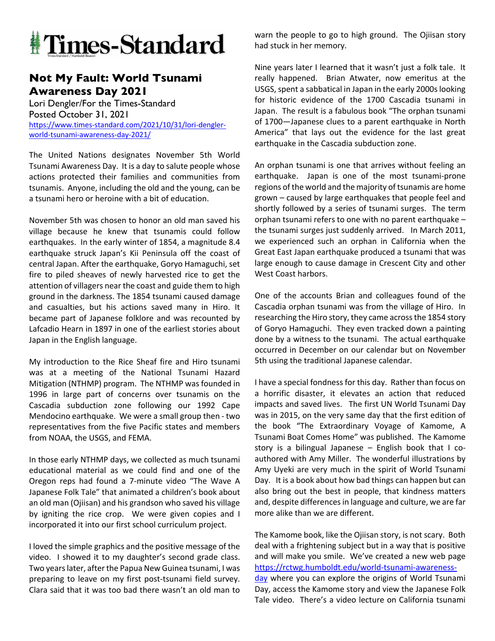

## **Not My Fault: World Tsunami Awareness Day 2021**

Lori Dengler/For the Times-Standard Posted October 31, 2021 https://www.times-standard.com/2021/10/31/lori-denglerworld-tsunami-awareness-day-2021/

The United Nations designates November 5th World Tsunami Awareness Day. It is a day to salute people whose actions protected their families and communities from tsunamis. Anyone, including the old and the young, can be a tsunami hero or heroine with a bit of education.

November 5th was chosen to honor an old man saved his village because he knew that tsunamis could follow earthquakes. In the early winter of 1854, a magnitude 8.4 earthquake struck Japan's Kii Peninsula off the coast of central Japan. After the earthquake, Goryo Hamaguchi, set fire to piled sheaves of newly harvested rice to get the attention of villagers near the coast and guide them to high ground in the darkness. The 1854 tsunami caused damage and casualties, but his actions saved many in Hiro. It became part of Japanese folklore and was recounted by Lafcadio Hearn in 1897 in one of the earliest stories about Japan in the English language.

My introduction to the Rice Sheaf fire and Hiro tsunami was at a meeting of the National Tsunami Hazard Mitigation (NTHMP) program. The NTHMP was founded in 1996 in large part of concerns over tsunamis on the Cascadia subduction zone following our 1992 Cape Mendocino earthquake. We were a small group then - two representatives from the five Pacific states and members from NOAA, the USGS, and FEMA.

In those early NTHMP days, we collected as much tsunami educational material as we could find and one of the Oregon reps had found a 7-minute video "The Wave A Japanese Folk Tale" that animated a children's book about an old man (Ojiisan) and his grandson who saved his village by igniting the rice crop. We were given copies and I incorporated it into our first school curriculum project.

I loved the simple graphics and the positive message of the video. I showed it to my daughter's second grade class. Two years later, after the Papua New Guinea tsunami, I was preparing to leave on my first post-tsunami field survey. Clara said that it was too bad there wasn't an old man to

warn the people to go to high ground. The Ojiisan story had stuck in her memory.

Nine years later I learned that it wasn't just a folk tale. It really happened. Brian Atwater, now emeritus at the USGS, spent a sabbatical in Japan in the early 2000s looking for historic evidence of the 1700 Cascadia tsunami in Japan. The result is a fabulous book "The orphan tsunami of 1700—Japanese clues to a parent earthquake in North America" that lays out the evidence for the last great earthquake in the Cascadia subduction zone.

An orphan tsunami is one that arrives without feeling an earthquake. Japan is one of the most tsunami-prone regions of the world and the majority of tsunamis are home grown – caused by large earthquakes that people feel and shortly followed by a series of tsunami surges. The term orphan tsunami refers to one with no parent earthquake – the tsunami surges just suddenly arrived. In March 2011, we experienced such an orphan in California when the Great East Japan earthquake produced a tsunami that was large enough to cause damage in Crescent City and other West Coast harbors.

One of the accounts Brian and colleagues found of the Cascadia orphan tsunami was from the village of Hiro. In researching the Hiro story, they came across the 1854 story of Goryo Hamaguchi. They even tracked down a painting done by a witness to the tsunami. The actual earthquake occurred in December on our calendar but on November 5th using the traditional Japanese calendar.

I have a special fondness for this day. Rather than focus on a horrific disaster, it elevates an action that reduced impacts and saved lives. The first UN World Tsunami Day was in 2015, on the very same day that the first edition of the book "The Extraordinary Voyage of Kamome, A Tsunami Boat Comes Home" was published. The Kamome story is a bilingual Japanese – English book that I coauthored with Amy Miller. The wonderful illustrations by Amy Uyeki are very much in the spirit of World Tsunami Day. It is a book about how bad things can happen but can also bring out the best in people, that kindness matters and, despite differences in language and culture, we are far more alike than we are different.

The Kamome book, like the Ojiisan story, is not scary. Both deal with a frightening subject but in a way that is positive and will make you smile. We've created a new web page https://rctwg.humboldt.edu/world-tsunami-awarenessday where you can explore the origins of World Tsunami Day, access the Kamome story and view the Japanese Folk Tale video. There's a video lecture on California tsunami